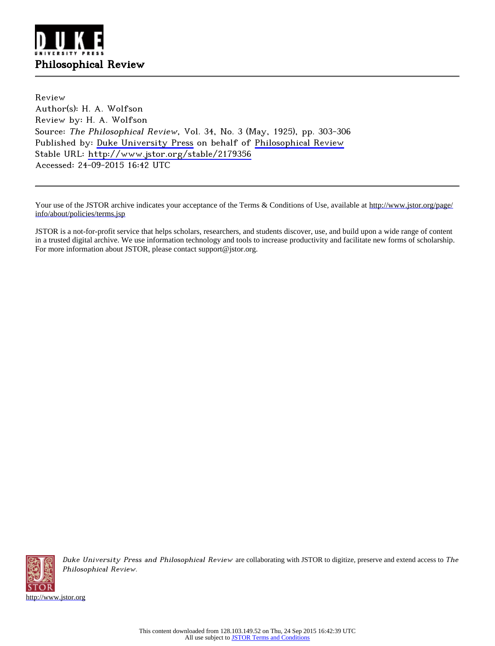Review Author(s): H. A. Wolfson Review by: H. A. Wolfson Source: The Philosophical Review, Vol. 34, No. 3 (May, 1925), pp. 303-306 Published by: [Duke University Press](http://www.jstor.org/action/showPublisher?publisherCode=duke) on behalf of [Philosophical Review](http://www.jstor.org/action/showPublisher?publisherCode=philreview) Stable URL: <http://www.jstor.org/stable/2179356> Accessed: 24-09-2015 16:42 UTC

Your use of the JSTOR archive indicates your acceptance of the Terms & Conditions of Use, available at [http://www.jstor.org/page/](http://www.jstor.org/page/info/about/policies/terms.jsp) [info/about/policies/terms.jsp](http://www.jstor.org/page/info/about/policies/terms.jsp)

JSTOR is a not-for-profit service that helps scholars, researchers, and students discover, use, and build upon a wide range of content in a trusted digital archive. We use information technology and tools to increase productivity and facilitate new forms of scholarship. For more information about JSTOR, please contact support@jstor.org.



Duke University Press and Philosophical Review are collaborating with JSTOR to digitize, preserve and extend access to The Philosophical Review.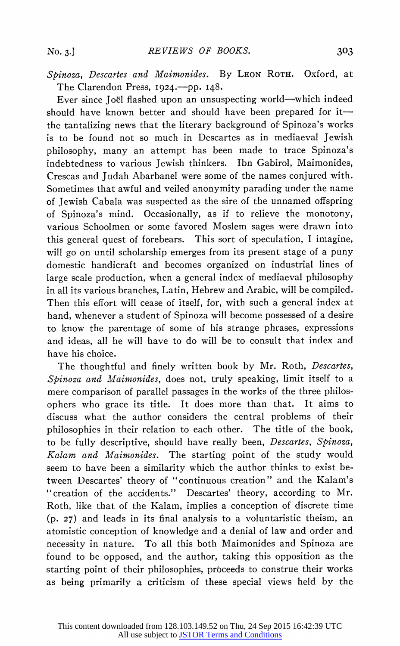**Spinoza, Descartes and Maimonides. By LEON ROTH. Oxford, at**  The Clarendon Press, 1924.--pp. 148.

**Ever since Joel flashed upon an unsuspecting world-which indeed**  should have known better and should have been prepared for it**the tantalizing news that the literary background of Spinoza's works is to be found not so much in Descartes as in mediaeval Jewish philosophy, many an attempt has been made to trace Spinoza's indebtedness to various Jewish thinkers. Ibn Gabirol, Maimonides, Crescas and Judah Abarbanel were some of the names conjured with. Sometimes that awful and veiled anonymity parading under the name of Jewish Cabala was suspected as the sire of the unnamed offspring of Spinoza's mind. Occasionally, as if to relieve the monotony, various Schoolmen or some favored Moslem sages were drawn into this general quest of forebears. This sort of speculation, I imagine, will go on until scholarship emerges from its present stage of a puny domestic handicraft and becomes organized on industrial lines of large scale production, when a general index of mediaeval philosophy in all its various branches, Latin, Hebrew and Arabic, will be compiled. Then this effort will cease of itself, for, with such a general index at hand, whenever a student of Spinoza will become possessed of a desire to know the parentage of some of his strange phrases, expressions and ideas, all he will have to do will be to consult that index and have his choice.** 

**The thoughtful and finely written book by Mr. Roth, Descartes, Spinoza and Maimonides, does not, truly speaking, limit itself to a mere comparison of parallel passages in the works of the three philosophers who grace its title. It does more than that. It aims to discuss what the author considers the central problems of their philosophies in their relation to each other. The title of the book, to be fully descriptive, should have really been, Descartes, Spinoza, Kalam and Maimonides. The starting point of the study would seem to have been a similarity which the author thinks to exist between Descartes' theory of "continuous creation" and the Kalam's "creation of the accidents." Descartes' theory, according to Mr. Roth, like that of the Kalam, implies a conception of discrete time (p. 27) and leads in its final analysis to a voluntaristic theism, an atomistic conception of knowledge and a denial of law and order and necessity in nature. To all this both Maimonides and Spinoza are found to be opposed, and the author, taking this opposition as the starting point of their philosophies, proceeds to construe their works as being primarily a criticism of these special views held by the**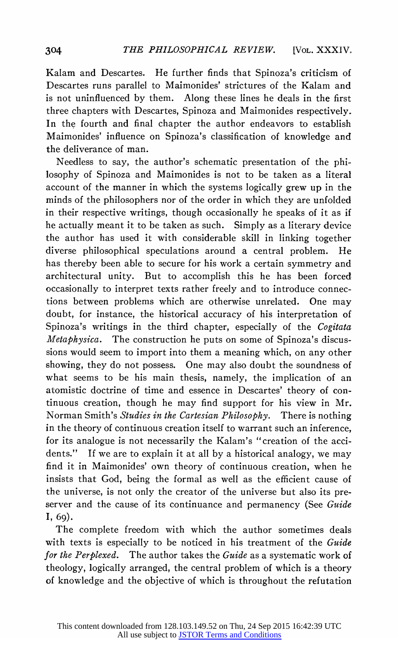**Kalam and Descartes. He further finds that Spinoza's criticism of Descartes runs parallel to Maimonides' strictures of the Kalam and is not uninfluenced by them. Along these lines he deals in the first three chapters with Descartes, Spinoza and Maimonides respectively. In the fourth and final chapter the author endeavors to establish Maimonides' influence on Spinoza's classification of knowledge and the deliverance of man.** 

**Needless to say, the author's schematic presentation of the philosophy of Spinoza and Maimonides is not to be taken as a literal account of the manner in which the systems logically grew up in the minds of the philosophers nor of the order in which they are unfolded in their respective writings, though occasionally he speaks of it as if he actually meant it to be taken as such. Simply as a literary device the author has used it with considerable skill in linking together diverse philosophical speculations around a central problem. He has thereby been able to secure for his work a certain symmetry and architectural unity. But to accomplish this he has been forced occasionally to interpret texts rather freely and to introduce connections between problems which are otherwise unrelated. One may doubt, for instance, the historical accuracy of his interpretation of Spinoza's writings in the third chapter, especially of the Cogitata Metaphysica. The construction he puts on some of Spinoza's discussions would seem to import into them a meaning which, on any other showing, they do not possess. One may also doubt the soundness of what seems to be his main thesis, namely, the implication of an atomistic doctrine of time and essence in Descartes' theory of continuous creation, though he may find support for his view in Mr. Norman Smith's Studies in the Cartesian Philosophy. There is nothing in the theory of continuous creation itself to warrant such an inference, for its analogue is not necessarily the Kalam's "creation of the accidents." If we are to explain it at all by a historical analogy, we may find it in Maimonides' own theory of continuous creation, when he insists that God, being the formal as well as the efficient cause of the universe, is not only the creator of the universe but also its preserver and the cause of its continuance and permanency (See Guide I, 69).** 

**The complete freedom with which the author sometimes deals with texts is especially to be noticed in his treatment of the Guide for the Perplexed. The author takes the Guide as a systematic work of theology, logically arranged, the central problem of which is a theory of knowledge and the objective of which is throughout the refutation**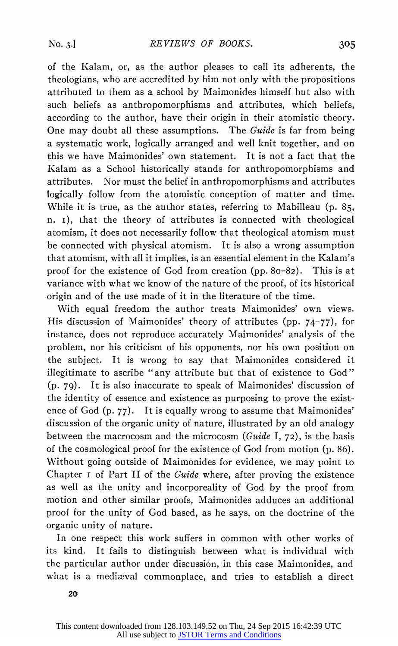**of the Kalam, or, as the author pleases to call its adherents, the theologians, who are accredited by him not only with the propositions attributed to them as a school by Maimonides himself but also with such beliefs as anthropomorphisms and attributes, which beliefs, according to the author, have their origin in their atomistic theory. One may doubt all these assumptions. The Guide is far from being a systematic work, logically arranged and well knit together, and on this we have Maimonides' own statement. It is not a fact that the Kalam as a School historically stands for anthropomorphisms and attributes. Nor must the belief in anthropomorphisms and attributes logically follow from the atomistic conception of matter and time. While it is true, as the author states, referring to Mabilleau (p. 85, n. i), that the theory of attributes is connected with theological atomism, it does not necessarily follow that theological atomism must be connected with physical atomism. It is also a wrong assumption that atomism, with all it implies, is an essential element in the Kalam's proof for the existence of God from creation (pp. 80-82). This is at variance with what we know of the nature of the proof, of its historical origin and of the use made of it in the literature of the time.** 

**With equal freedom the author treats Maimonides' own views. His discussion of Maimonides' theory of attributes (pp. 74-77), for instance, does not reproduce accurately Maimonides' analysis of the problem, nor his criticism of his opponents, nor his own position on the subject. It is wrong to say that Maimonides considered it illegitimate to ascribe "any attribute but that of existence to God" (p. 79). It is also inaccurate to speak of Maimonides' discussion of the identity of essence and existence as purposing to prove the existence of God (p. 77). It is equally wrong to assume that Maimonides' discussion of the organic unity of nature, illustrated by an old analogy between the macrocosm and the microcosm (Guide I, 72), is the basis of the cosmological proof for the existence of God from motion (p. 86). Without going outside of Maimonides for evidence, we may point to Chapter i of Part II of the Guide where, after proving the existence as well as the unity and incorporeality of God by the proof from motion and other similar proofs, Maimonides adduces an additional proof for the unity of God based, as he says, on the doctrine of the organic unity of nature.** 

**In one respect this work suffers in common with other works of its kind. It fails to distinguish between what is individual with the particular author under discussion, in this case Maimonides, and what is a medieval commonplace, and tries to establish a direct**